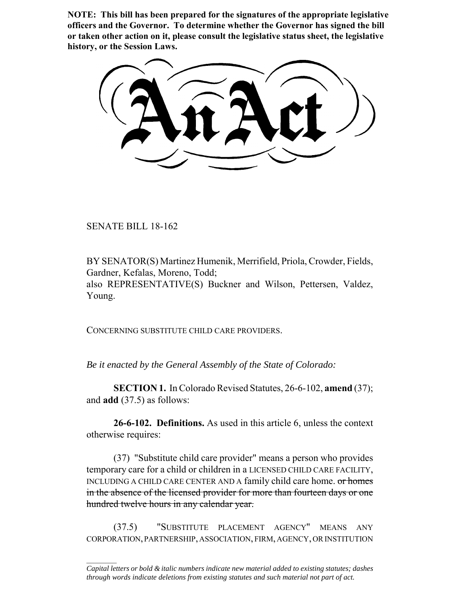**NOTE: This bill has been prepared for the signatures of the appropriate legislative officers and the Governor. To determine whether the Governor has signed the bill or taken other action on it, please consult the legislative status sheet, the legislative history, or the Session Laws.**

SENATE BILL 18-162

BY SENATOR(S) Martinez Humenik, Merrifield, Priola, Crowder, Fields, Gardner, Kefalas, Moreno, Todd; also REPRESENTATIVE(S) Buckner and Wilson, Pettersen, Valdez, Young.

CONCERNING SUBSTITUTE CHILD CARE PROVIDERS.

*Be it enacted by the General Assembly of the State of Colorado:*

**SECTION 1.** In Colorado Revised Statutes, 26-6-102, **amend** (37); and **add** (37.5) as follows:

**26-6-102. Definitions.** As used in this article 6, unless the context otherwise requires:

(37) "Substitute child care provider" means a person who provides temporary care for a child or children in a LICENSED CHILD CARE FACILITY, INCLUDING A CHILD CARE CENTER AND A family child care home. or homes in the absence of the licensed provider for more than fourteen days or one hundred twelve hours in any calendar year.

(37.5) "SUBSTITUTE PLACEMENT AGENCY" MEANS ANY CORPORATION, PARTNERSHIP, ASSOCIATION, FIRM, AGENCY, OR INSTITUTION

 $\frac{1}{2}$ *Capital letters or bold & italic numbers indicate new material added to existing statutes; dashes through words indicate deletions from existing statutes and such material not part of act.*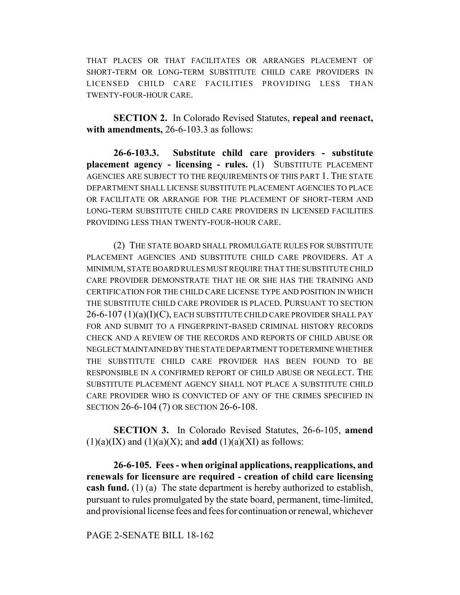THAT PLACES OR THAT FACILITATES OR ARRANGES PLACEMENT OF SHORT-TERM OR LONG-TERM SUBSTITUTE CHILD CARE PROVIDERS IN LICENSED CHILD CARE FACILITIES PROVIDING LESS THAN TWENTY-FOUR-HOUR CARE.

**SECTION 2.** In Colorado Revised Statutes, **repeal and reenact, with amendments,** 26-6-103.3 as follows:

**26-6-103.3. Substitute child care providers - substitute placement agency - licensing - rules.** (1) SUBSTITUTE PLACEMENT AGENCIES ARE SUBJECT TO THE REQUIREMENTS OF THIS PART 1. THE STATE DEPARTMENT SHALL LICENSE SUBSTITUTE PLACEMENT AGENCIES TO PLACE OR FACILITATE OR ARRANGE FOR THE PLACEMENT OF SHORT-TERM AND LONG-TERM SUBSTITUTE CHILD CARE PROVIDERS IN LICENSED FACILITIES PROVIDING LESS THAN TWENTY-FOUR-HOUR CARE.

(2) THE STATE BOARD SHALL PROMULGATE RULES FOR SUBSTITUTE PLACEMENT AGENCIES AND SUBSTITUTE CHILD CARE PROVIDERS. AT A MINIMUM, STATE BOARD RULES MUST REQUIRE THAT THE SUBSTITUTE CHILD CARE PROVIDER DEMONSTRATE THAT HE OR SHE HAS THE TRAINING AND CERTIFICATION FOR THE CHILD CARE LICENSE TYPE AND POSITION IN WHICH THE SUBSTITUTE CHILD CARE PROVIDER IS PLACED. PURSUANT TO SECTION  $26-6-107(1)(a)(I)(C)$ , EACH SUBSTITUTE CHILD CARE PROVIDER SHALL PAY FOR AND SUBMIT TO A FINGERPRINT-BASED CRIMINAL HISTORY RECORDS CHECK AND A REVIEW OF THE RECORDS AND REPORTS OF CHILD ABUSE OR NEGLECT MAINTAINED BY THE STATE DEPARTMENT TO DETERMINE WHETHER THE SUBSTITUTE CHILD CARE PROVIDER HAS BEEN FOUND TO BE RESPONSIBLE IN A CONFIRMED REPORT OF CHILD ABUSE OR NEGLECT. THE SUBSTITUTE PLACEMENT AGENCY SHALL NOT PLACE A SUBSTITUTE CHILD CARE PROVIDER WHO IS CONVICTED OF ANY OF THE CRIMES SPECIFIED IN SECTION 26-6-104 (7) OR SECTION 26-6-108.

**SECTION 3.** In Colorado Revised Statutes, 26-6-105, **amend**  $(1)(a)(IX)$  and  $(1)(a)(X)$ ; and **add**  $(1)(a)(XI)$  as follows:

**26-6-105. Fees - when original applications, reapplications, and renewals for licensure are required - creation of child care licensing cash fund.** (1) (a) The state department is hereby authorized to establish, pursuant to rules promulgated by the state board, permanent, time-limited, and provisional license fees and fees for continuation or renewal, whichever

PAGE 2-SENATE BILL 18-162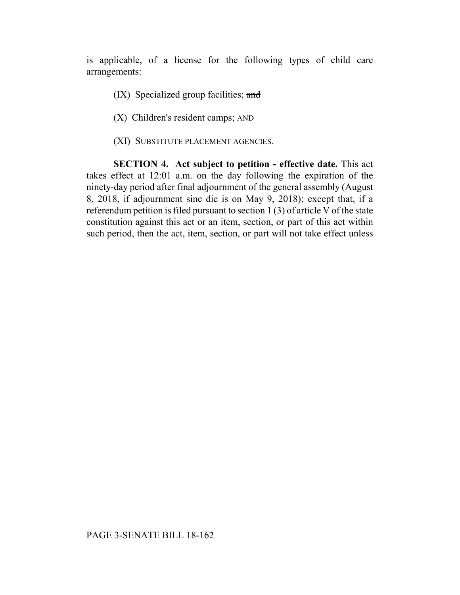is applicable, of a license for the following types of child care arrangements:

- (IX) Specialized group facilities; and
- (X) Children's resident camps; AND
- (XI) SUBSTITUTE PLACEMENT AGENCIES.

**SECTION 4. Act subject to petition - effective date.** This act takes effect at 12:01 a.m. on the day following the expiration of the ninety-day period after final adjournment of the general assembly (August 8, 2018, if adjournment sine die is on May 9, 2018); except that, if a referendum petition is filed pursuant to section 1 (3) of article V of the state constitution against this act or an item, section, or part of this act within such period, then the act, item, section, or part will not take effect unless